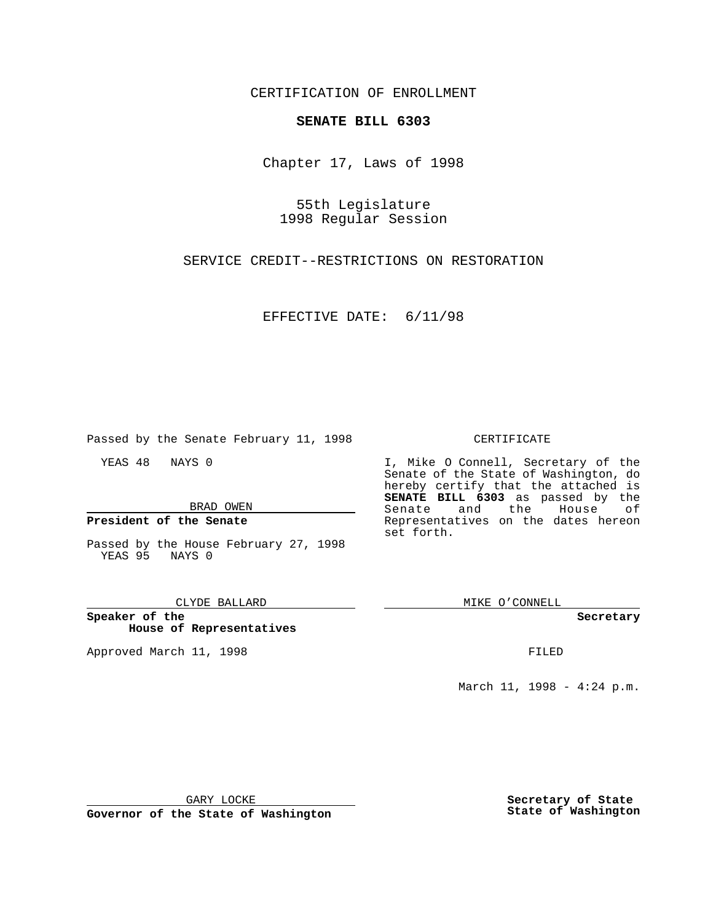CERTIFICATION OF ENROLLMENT

## **SENATE BILL 6303**

Chapter 17, Laws of 1998

55th Legislature 1998 Regular Session

SERVICE CREDIT--RESTRICTIONS ON RESTORATION

EFFECTIVE DATE: 6/11/98

Passed by the Senate February 11, 1998

YEAS 48 NAYS 0

BRAD OWEN

**President of the Senate**

Passed by the House February 27, 1998 YEAS 95 NAYS 0

### CLYDE BALLARD

**Speaker of the House of Representatives**

Approved March 11, 1998 **FILED** 

## CERTIFICATE

I, Mike O Connell, Secretary of the Senate of the State of Washington, do hereby certify that the attached is **SENATE BILL 6303** as passed by the Senate and the House of Representatives on the dates hereon set forth.

MIKE O'CONNELL

 $\begin{array}{c} \begin{array}{c} \begin{array}{c} \begin{array}{c} \end{array} \\ \end{array} \end{array} \end{array} \end{array}$ 

#### **Secretary**

March 11, 1998 - 4:24 p.m.

GARY LOCKE

**Governor of the State of Washington**

**Secretary of State State of Washington**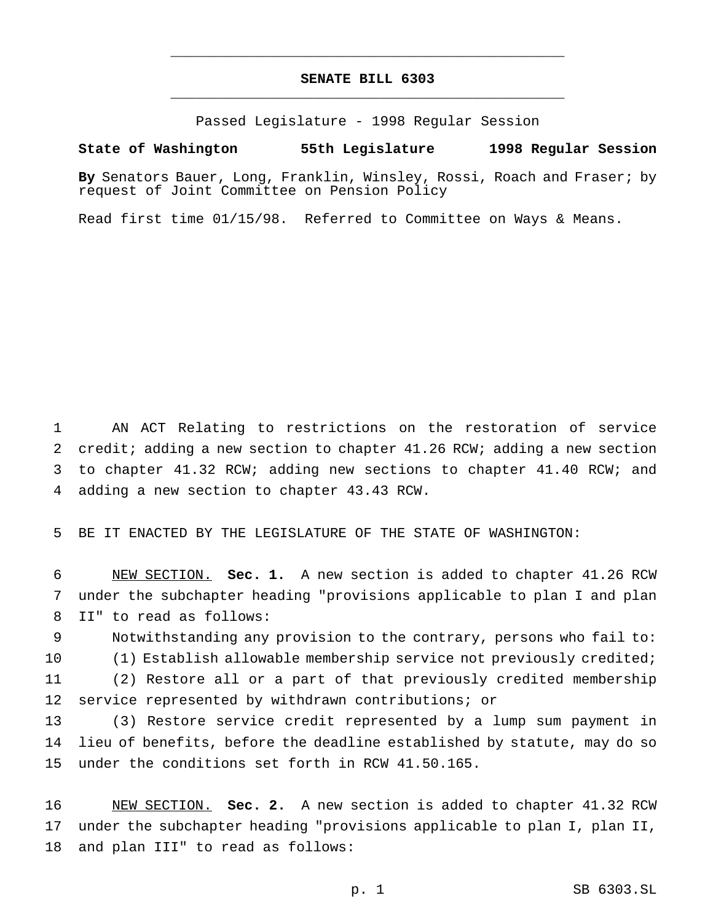# **SENATE BILL 6303** \_\_\_\_\_\_\_\_\_\_\_\_\_\_\_\_\_\_\_\_\_\_\_\_\_\_\_\_\_\_\_\_\_\_\_\_\_\_\_\_\_\_\_\_\_\_\_

\_\_\_\_\_\_\_\_\_\_\_\_\_\_\_\_\_\_\_\_\_\_\_\_\_\_\_\_\_\_\_\_\_\_\_\_\_\_\_\_\_\_\_\_\_\_\_

Passed Legislature - 1998 Regular Session

## **State of Washington 55th Legislature 1998 Regular Session**

**By** Senators Bauer, Long, Franklin, Winsley, Rossi, Roach and Fraser; by request of Joint Committee on Pension Policy

Read first time 01/15/98. Referred to Committee on Ways & Means.

 AN ACT Relating to restrictions on the restoration of service credit; adding a new section to chapter 41.26 RCW; adding a new section to chapter 41.32 RCW; adding new sections to chapter 41.40 RCW; and adding a new section to chapter 43.43 RCW.

BE IT ENACTED BY THE LEGISLATURE OF THE STATE OF WASHINGTON:

 NEW SECTION. **Sec. 1.** A new section is added to chapter 41.26 RCW under the subchapter heading "provisions applicable to plan I and plan II" to read as follows:

 Notwithstanding any provision to the contrary, persons who fail to: 10 (1) Establish allowable membership service not previously credited; (2) Restore all or a part of that previously credited membership service represented by withdrawn contributions; or

 (3) Restore service credit represented by a lump sum payment in lieu of benefits, before the deadline established by statute, may do so under the conditions set forth in RCW 41.50.165.

 NEW SECTION. **Sec. 2.** A new section is added to chapter 41.32 RCW under the subchapter heading "provisions applicable to plan I, plan II, and plan III" to read as follows: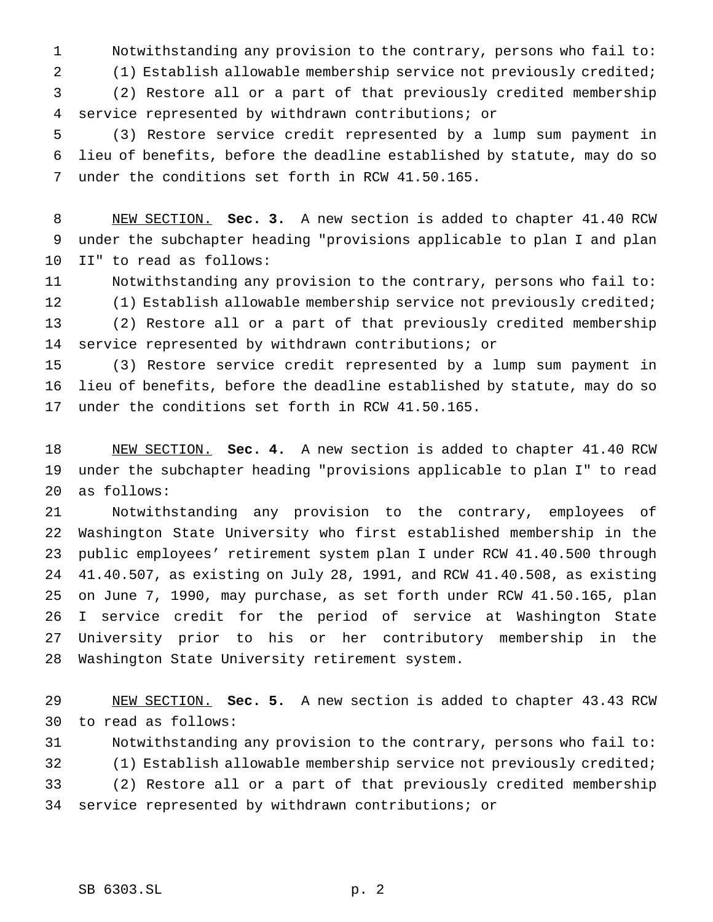Notwithstanding any provision to the contrary, persons who fail to:

(1) Establish allowable membership service not previously credited;

 (2) Restore all or a part of that previously credited membership service represented by withdrawn contributions; or

 (3) Restore service credit represented by a lump sum payment in lieu of benefits, before the deadline established by statute, may do so under the conditions set forth in RCW 41.50.165.

 NEW SECTION. **Sec. 3.** A new section is added to chapter 41.40 RCW under the subchapter heading "provisions applicable to plan I and plan II" to read as follows:

 Notwithstanding any provision to the contrary, persons who fail to: (1) Establish allowable membership service not previously credited; (2) Restore all or a part of that previously credited membership service represented by withdrawn contributions; or

 (3) Restore service credit represented by a lump sum payment in lieu of benefits, before the deadline established by statute, may do so under the conditions set forth in RCW 41.50.165.

 NEW SECTION. **Sec. 4.** A new section is added to chapter 41.40 RCW under the subchapter heading "provisions applicable to plan I" to read as follows:

 Notwithstanding any provision to the contrary, employees of Washington State University who first established membership in the public employees' retirement system plan I under RCW 41.40.500 through 41.40.507, as existing on July 28, 1991, and RCW 41.40.508, as existing on June 7, 1990, may purchase, as set forth under RCW 41.50.165, plan I service credit for the period of service at Washington State University prior to his or her contributory membership in the Washington State University retirement system.

 NEW SECTION. **Sec. 5.** A new section is added to chapter 43.43 RCW to read as follows:

 Notwithstanding any provision to the contrary, persons who fail to: (1) Establish allowable membership service not previously credited; (2) Restore all or a part of that previously credited membership service represented by withdrawn contributions; or